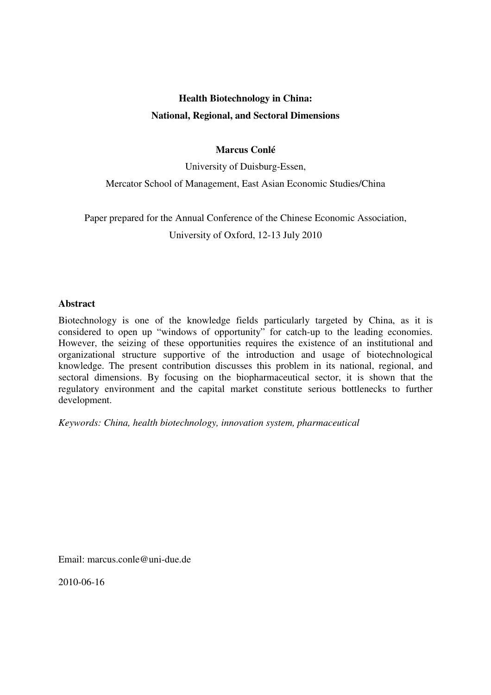# **Health Biotechnology in China:**

# **National, Regional, and Sectoral Dimensions**

# **Marcus Conlé**

University of Duisburg-Essen,

Mercator School of Management, East Asian Economic Studies/China

Paper prepared for the Annual Conference of the Chinese Economic Association, University of Oxford, 12-13 July 2010

# **Abstract**

Biotechnology is one of the knowledge fields particularly targeted by China, as it is considered to open up "windows of opportunity" for catch-up to the leading economies. However, the seizing of these opportunities requires the existence of an institutional and organizational structure supportive of the introduction and usage of biotechnological knowledge. The present contribution discusses this problem in its national, regional, and sectoral dimensions. By focusing on the biopharmaceutical sector, it is shown that the regulatory environment and the capital market constitute serious bottlenecks to further development.

*Keywords: China, health biotechnology, innovation system, pharmaceutical* 

Email: marcus.conle@uni-due.de

2010-06-16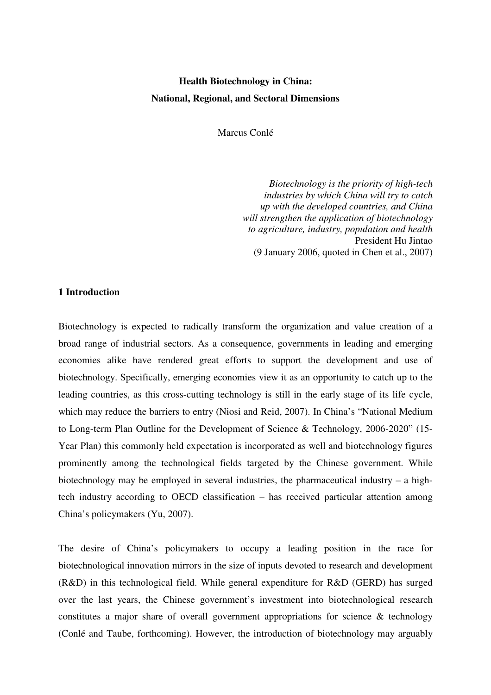# **Health Biotechnology in China: National, Regional, and Sectoral Dimensions**

Marcus Conlé

*Biotechnology is the priority of high-tech industries by which China will try to catch up with the developed countries, and China will strengthen the application of biotechnology to agriculture, industry, population and health* President Hu Jintao (9 January 2006, quoted in Chen et al., 2007)

#### **1 Introduction**

Biotechnology is expected to radically transform the organization and value creation of a broad range of industrial sectors. As a consequence, governments in leading and emerging economies alike have rendered great efforts to support the development and use of biotechnology. Specifically, emerging economies view it as an opportunity to catch up to the leading countries, as this cross-cutting technology is still in the early stage of its life cycle, which may reduce the barriers to entry (Niosi and Reid, 2007). In China's "National Medium to Long-term Plan Outline for the Development of Science & Technology, 2006-2020" (15- Year Plan) this commonly held expectation is incorporated as well and biotechnology figures prominently among the technological fields targeted by the Chinese government. While biotechnology may be employed in several industries, the pharmaceutical industry  $-$  a hightech industry according to OECD classification – has received particular attention among China's policymakers (Yu, 2007).

The desire of China's policymakers to occupy a leading position in the race for biotechnological innovation mirrors in the size of inputs devoted to research and development (R&D) in this technological field. While general expenditure for R&D (GERD) has surged over the last years, the Chinese government's investment into biotechnological research constitutes a major share of overall government appropriations for science & technology (Conlé and Taube, forthcoming). However, the introduction of biotechnology may arguably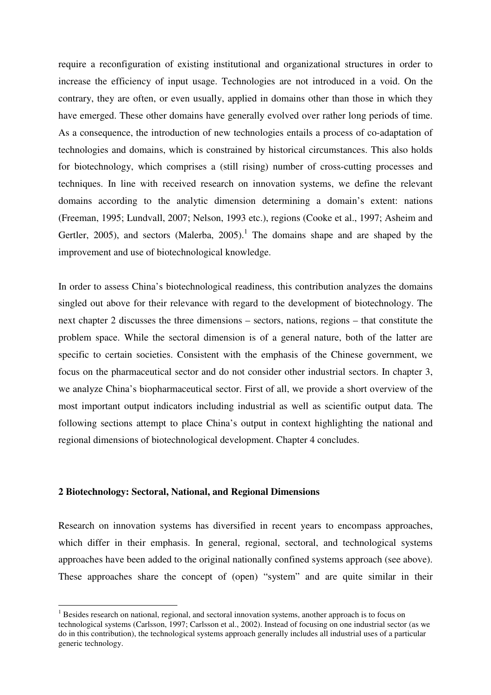require a reconfiguration of existing institutional and organizational structures in order to increase the efficiency of input usage. Technologies are not introduced in a void. On the contrary, they are often, or even usually, applied in domains other than those in which they have emerged. These other domains have generally evolved over rather long periods of time. As a consequence, the introduction of new technologies entails a process of co-adaptation of technologies and domains, which is constrained by historical circumstances. This also holds for biotechnology, which comprises a (still rising) number of cross-cutting processes and techniques. In line with received research on innovation systems, we define the relevant domains according to the analytic dimension determining a domain's extent: nations (Freeman, 1995; Lundvall, 2007; Nelson, 1993 etc.), regions (Cooke et al., 1997; Asheim and Gertler, 2005), and sectors (Malerba, 2005).<sup>1</sup> The domains shape and are shaped by the improvement and use of biotechnological knowledge.

In order to assess China's biotechnological readiness, this contribution analyzes the domains singled out above for their relevance with regard to the development of biotechnology. The next chapter 2 discusses the three dimensions – sectors, nations, regions – that constitute the problem space. While the sectoral dimension is of a general nature, both of the latter are specific to certain societies. Consistent with the emphasis of the Chinese government, we focus on the pharmaceutical sector and do not consider other industrial sectors. In chapter 3, we analyze China's biopharmaceutical sector. First of all, we provide a short overview of the most important output indicators including industrial as well as scientific output data. The following sections attempt to place China's output in context highlighting the national and regional dimensions of biotechnological development. Chapter 4 concludes.

# **2 Biotechnology: Sectoral, National, and Regional Dimensions**

 $\overline{a}$ 

Research on innovation systems has diversified in recent years to encompass approaches, which differ in their emphasis. In general, regional, sectoral, and technological systems approaches have been added to the original nationally confined systems approach (see above). These approaches share the concept of (open) "system" and are quite similar in their

<sup>&</sup>lt;sup>1</sup> Besides research on national, regional, and sectoral innovation systems, another approach is to focus on technological systems (Carlsson, 1997; Carlsson et al., 2002). Instead of focusing on one industrial sector (as we do in this contribution), the technological systems approach generally includes all industrial uses of a particular generic technology.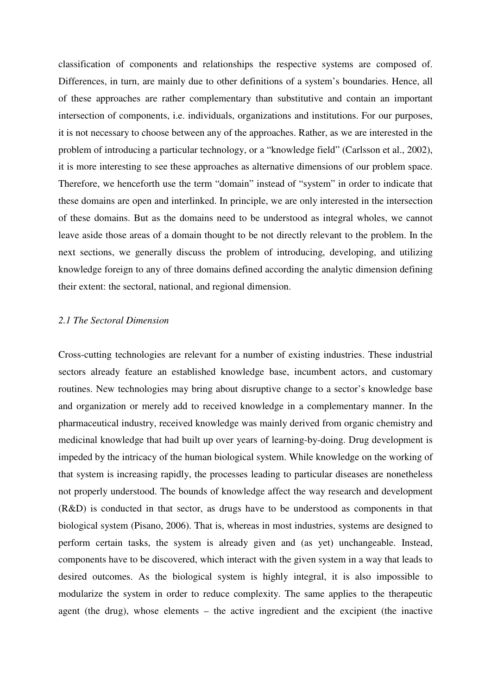classification of components and relationships the respective systems are composed of. Differences, in turn, are mainly due to other definitions of a system's boundaries. Hence, all of these approaches are rather complementary than substitutive and contain an important intersection of components, i.e. individuals, organizations and institutions. For our purposes, it is not necessary to choose between any of the approaches. Rather, as we are interested in the problem of introducing a particular technology, or a "knowledge field" (Carlsson et al., 2002), it is more interesting to see these approaches as alternative dimensions of our problem space. Therefore, we henceforth use the term "domain" instead of "system" in order to indicate that these domains are open and interlinked. In principle, we are only interested in the intersection of these domains. But as the domains need to be understood as integral wholes, we cannot leave aside those areas of a domain thought to be not directly relevant to the problem. In the next sections, we generally discuss the problem of introducing, developing, and utilizing knowledge foreign to any of three domains defined according the analytic dimension defining their extent: the sectoral, national, and regional dimension.

# *2.1 The Sectoral Dimension*

Cross-cutting technologies are relevant for a number of existing industries. These industrial sectors already feature an established knowledge base, incumbent actors, and customary routines. New technologies may bring about disruptive change to a sector's knowledge base and organization or merely add to received knowledge in a complementary manner. In the pharmaceutical industry, received knowledge was mainly derived from organic chemistry and medicinal knowledge that had built up over years of learning-by-doing. Drug development is impeded by the intricacy of the human biological system. While knowledge on the working of that system is increasing rapidly, the processes leading to particular diseases are nonetheless not properly understood. The bounds of knowledge affect the way research and development (R&D) is conducted in that sector, as drugs have to be understood as components in that biological system (Pisano, 2006). That is, whereas in most industries, systems are designed to perform certain tasks, the system is already given and (as yet) unchangeable. Instead, components have to be discovered, which interact with the given system in a way that leads to desired outcomes. As the biological system is highly integral, it is also impossible to modularize the system in order to reduce complexity. The same applies to the therapeutic agent (the drug), whose elements – the active ingredient and the excipient (the inactive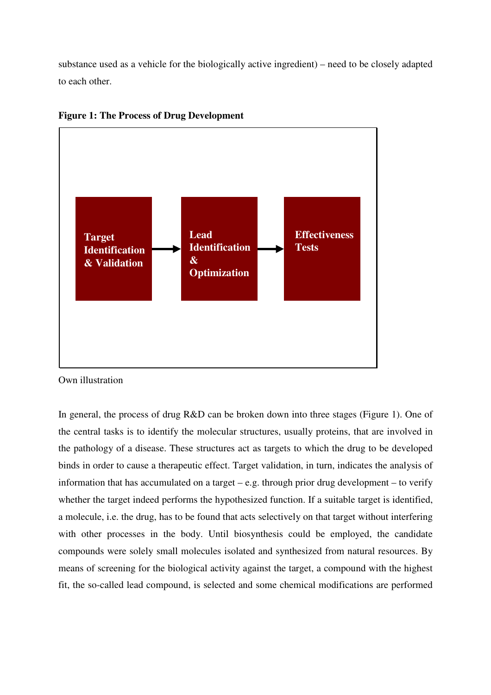substance used as a vehicle for the biologically active ingredient) – need to be closely adapted to each other.



**Figure 1: The Process of Drug Development** 

In general, the process of drug R&D can be broken down into three stages (Figure 1). One of the central tasks is to identify the molecular structures, usually proteins, that are involved in the pathology of a disease. These structures act as targets to which the drug to be developed binds in order to cause a therapeutic effect. Target validation, in turn, indicates the analysis of information that has accumulated on a target – e.g. through prior drug development – to verify whether the target indeed performs the hypothesized function. If a suitable target is identified, a molecule, i.e. the drug, has to be found that acts selectively on that target without interfering with other processes in the body. Until biosynthesis could be employed, the candidate compounds were solely small molecules isolated and synthesized from natural resources. By means of screening for the biological activity against the target, a compound with the highest fit, the so-called lead compound, is selected and some chemical modifications are performed

Own illustration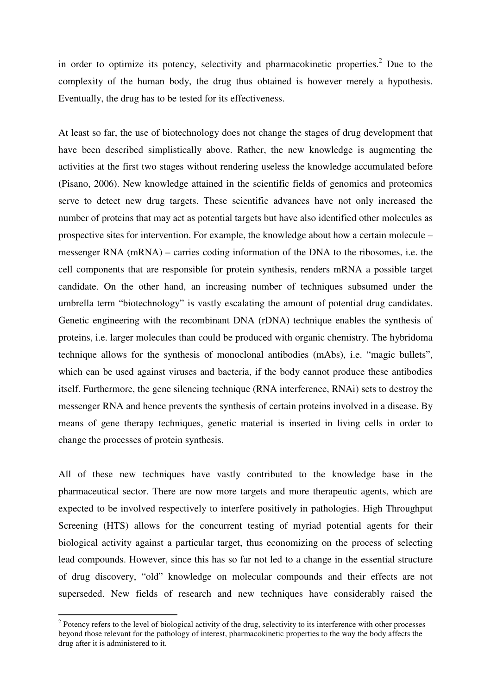in order to optimize its potency, selectivity and pharmacokinetic properties.<sup>2</sup> Due to the complexity of the human body, the drug thus obtained is however merely a hypothesis. Eventually, the drug has to be tested for its effectiveness.

At least so far, the use of biotechnology does not change the stages of drug development that have been described simplistically above. Rather, the new knowledge is augmenting the activities at the first two stages without rendering useless the knowledge accumulated before (Pisano, 2006). New knowledge attained in the scientific fields of genomics and proteomics serve to detect new drug targets. These scientific advances have not only increased the number of proteins that may act as potential targets but have also identified other molecules as prospective sites for intervention. For example, the knowledge about how a certain molecule – messenger RNA (mRNA) – carries coding information of the DNA to the ribosomes, i.e. the cell components that are responsible for protein synthesis, renders mRNA a possible target candidate. On the other hand, an increasing number of techniques subsumed under the umbrella term "biotechnology" is vastly escalating the amount of potential drug candidates. Genetic engineering with the recombinant DNA (rDNA) technique enables the synthesis of proteins, i.e. larger molecules than could be produced with organic chemistry. The hybridoma technique allows for the synthesis of monoclonal antibodies (mAbs), i.e. "magic bullets", which can be used against viruses and bacteria, if the body cannot produce these antibodies itself. Furthermore, the gene silencing technique (RNA interference, RNAi) sets to destroy the messenger RNA and hence prevents the synthesis of certain proteins involved in a disease. By means of gene therapy techniques, genetic material is inserted in living cells in order to change the processes of protein synthesis.

All of these new techniques have vastly contributed to the knowledge base in the pharmaceutical sector. There are now more targets and more therapeutic agents, which are expected to be involved respectively to interfere positively in pathologies. High Throughput Screening (HTS) allows for the concurrent testing of myriad potential agents for their biological activity against a particular target, thus economizing on the process of selecting lead compounds. However, since this has so far not led to a change in the essential structure of drug discovery, "old" knowledge on molecular compounds and their effects are not superseded. New fields of research and new techniques have considerably raised the

 $\overline{a}$ 

 $2^2$  Potency refers to the level of biological activity of the drug, selectivity to its interference with other processes beyond those relevant for the pathology of interest, pharmacokinetic properties to the way the body affects the drug after it is administered to it.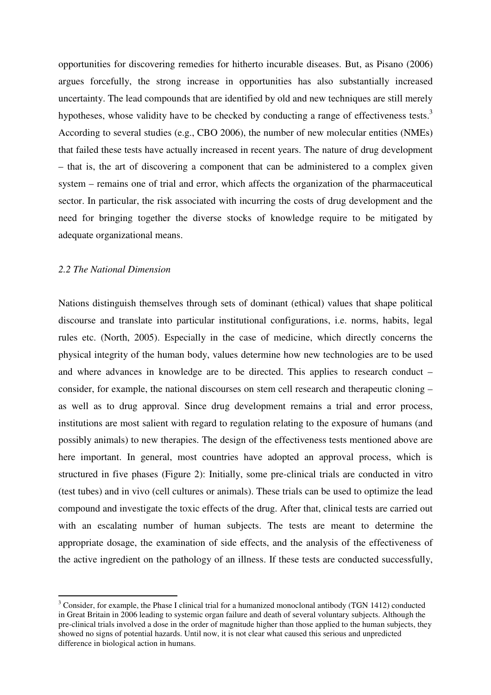opportunities for discovering remedies for hitherto incurable diseases. But, as Pisano (2006) argues forcefully, the strong increase in opportunities has also substantially increased uncertainty. The lead compounds that are identified by old and new techniques are still merely hypotheses, whose validity have to be checked by conducting a range of effectiveness tests.<sup>3</sup> According to several studies (e.g., CBO 2006), the number of new molecular entities (NMEs) that failed these tests have actually increased in recent years. The nature of drug development – that is, the art of discovering a component that can be administered to a complex given system – remains one of trial and error, which affects the organization of the pharmaceutical sector. In particular, the risk associated with incurring the costs of drug development and the need for bringing together the diverse stocks of knowledge require to be mitigated by adequate organizational means.

#### *2.2 The National Dimension*

 $\overline{a}$ 

Nations distinguish themselves through sets of dominant (ethical) values that shape political discourse and translate into particular institutional configurations, i.e. norms, habits, legal rules etc. (North, 2005). Especially in the case of medicine, which directly concerns the physical integrity of the human body, values determine how new technologies are to be used and where advances in knowledge are to be directed. This applies to research conduct – consider, for example, the national discourses on stem cell research and therapeutic cloning – as well as to drug approval. Since drug development remains a trial and error process, institutions are most salient with regard to regulation relating to the exposure of humans (and possibly animals) to new therapies. The design of the effectiveness tests mentioned above are here important. In general, most countries have adopted an approval process, which is structured in five phases (Figure 2): Initially, some pre-clinical trials are conducted in vitro (test tubes) and in vivo (cell cultures or animals). These trials can be used to optimize the lead compound and investigate the toxic effects of the drug. After that, clinical tests are carried out with an escalating number of human subjects. The tests are meant to determine the appropriate dosage, the examination of side effects, and the analysis of the effectiveness of the active ingredient on the pathology of an illness. If these tests are conducted successfully,

<sup>&</sup>lt;sup>3</sup> Consider, for example, the Phase I clinical trial for a humanized monoclonal antibody (TGN 1412) conducted in Great Britain in 2006 leading to systemic organ failure and death of several voluntary subjects. Although the pre-clinical trials involved a dose in the order of magnitude higher than those applied to the human subjects, they showed no signs of potential hazards. Until now, it is not clear what caused this serious and unpredicted difference in biological action in humans.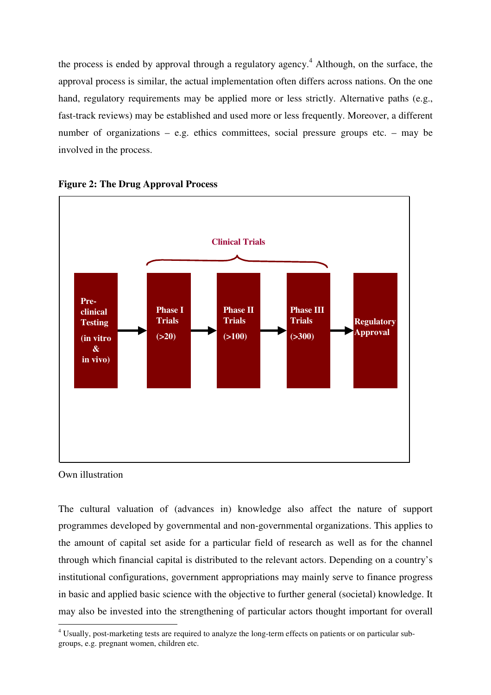the process is ended by approval through a regulatory agency.<sup>4</sup> Although, on the surface, the approval process is similar, the actual implementation often differs across nations. On the one hand, regulatory requirements may be applied more or less strictly. Alternative paths (e.g., fast-track reviews) may be established and used more or less frequently. Moreover, a different number of organizations – e.g. ethics committees, social pressure groups etc. – may be involved in the process.





Own illustration

The cultural valuation of (advances in) knowledge also affect the nature of support programmes developed by governmental and non-governmental organizations. This applies to the amount of capital set aside for a particular field of research as well as for the channel through which financial capital is distributed to the relevant actors. Depending on a country's institutional configurations, government appropriations may mainly serve to finance progress in basic and applied basic science with the objective to further general (societal) knowledge. It may also be invested into the strengthening of particular actors thought important for overall

 4 Usually, post-marketing tests are required to analyze the long-term effects on patients or on particular subgroups, e.g. pregnant women, children etc.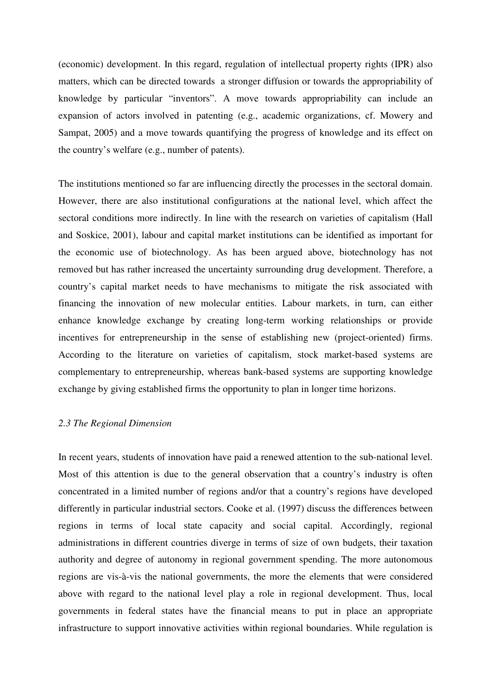(economic) development. In this regard, regulation of intellectual property rights (IPR) also matters, which can be directed towards a stronger diffusion or towards the appropriability of knowledge by particular "inventors". A move towards appropriability can include an expansion of actors involved in patenting (e.g., academic organizations, cf. Mowery and Sampat, 2005) and a move towards quantifying the progress of knowledge and its effect on the country's welfare (e.g., number of patents).

The institutions mentioned so far are influencing directly the processes in the sectoral domain. However, there are also institutional configurations at the national level, which affect the sectoral conditions more indirectly. In line with the research on varieties of capitalism (Hall and Soskice, 2001), labour and capital market institutions can be identified as important for the economic use of biotechnology. As has been argued above, biotechnology has not removed but has rather increased the uncertainty surrounding drug development. Therefore, a country's capital market needs to have mechanisms to mitigate the risk associated with financing the innovation of new molecular entities. Labour markets, in turn, can either enhance knowledge exchange by creating long-term working relationships or provide incentives for entrepreneurship in the sense of establishing new (project-oriented) firms. According to the literature on varieties of capitalism, stock market-based systems are complementary to entrepreneurship, whereas bank-based systems are supporting knowledge exchange by giving established firms the opportunity to plan in longer time horizons.

#### *2.3 The Regional Dimension*

In recent years, students of innovation have paid a renewed attention to the sub-national level. Most of this attention is due to the general observation that a country's industry is often concentrated in a limited number of regions and/or that a country's regions have developed differently in particular industrial sectors. Cooke et al. (1997) discuss the differences between regions in terms of local state capacity and social capital. Accordingly, regional administrations in different countries diverge in terms of size of own budgets, their taxation authority and degree of autonomy in regional government spending. The more autonomous regions are vis-à-vis the national governments, the more the elements that were considered above with regard to the national level play a role in regional development. Thus, local governments in federal states have the financial means to put in place an appropriate infrastructure to support innovative activities within regional boundaries. While regulation is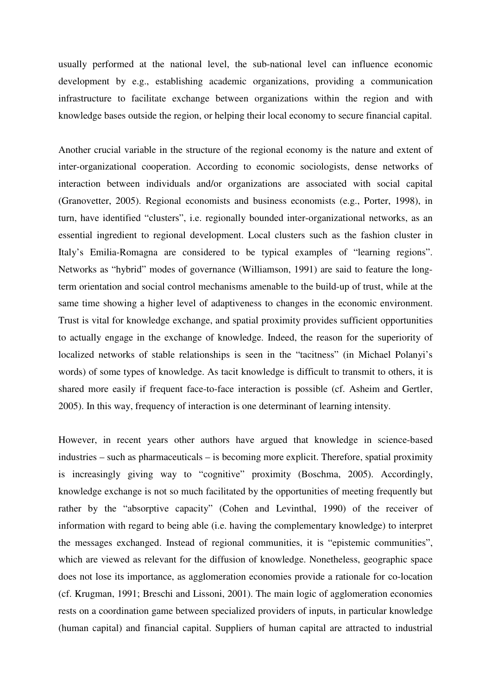usually performed at the national level, the sub-national level can influence economic development by e.g., establishing academic organizations, providing a communication infrastructure to facilitate exchange between organizations within the region and with knowledge bases outside the region, or helping their local economy to secure financial capital.

Another crucial variable in the structure of the regional economy is the nature and extent of inter-organizational cooperation. According to economic sociologists, dense networks of interaction between individuals and/or organizations are associated with social capital (Granovetter, 2005). Regional economists and business economists (e.g., Porter, 1998), in turn, have identified "clusters", i.e. regionally bounded inter-organizational networks, as an essential ingredient to regional development. Local clusters such as the fashion cluster in Italy's Emilia-Romagna are considered to be typical examples of "learning regions". Networks as "hybrid" modes of governance (Williamson, 1991) are said to feature the longterm orientation and social control mechanisms amenable to the build-up of trust, while at the same time showing a higher level of adaptiveness to changes in the economic environment. Trust is vital for knowledge exchange, and spatial proximity provides sufficient opportunities to actually engage in the exchange of knowledge. Indeed, the reason for the superiority of localized networks of stable relationships is seen in the "tacitness" (in Michael Polanyi's words) of some types of knowledge. As tacit knowledge is difficult to transmit to others, it is shared more easily if frequent face-to-face interaction is possible (cf. Asheim and Gertler, 2005). In this way, frequency of interaction is one determinant of learning intensity.

However, in recent years other authors have argued that knowledge in science-based industries – such as pharmaceuticals – is becoming more explicit. Therefore, spatial proximity is increasingly giving way to "cognitive" proximity (Boschma, 2005). Accordingly, knowledge exchange is not so much facilitated by the opportunities of meeting frequently but rather by the "absorptive capacity" (Cohen and Levinthal, 1990) of the receiver of information with regard to being able (i.e. having the complementary knowledge) to interpret the messages exchanged. Instead of regional communities, it is "epistemic communities", which are viewed as relevant for the diffusion of knowledge. Nonetheless, geographic space does not lose its importance, as agglomeration economies provide a rationale for co-location (cf. Krugman, 1991; Breschi and Lissoni, 2001). The main logic of agglomeration economies rests on a coordination game between specialized providers of inputs, in particular knowledge (human capital) and financial capital. Suppliers of human capital are attracted to industrial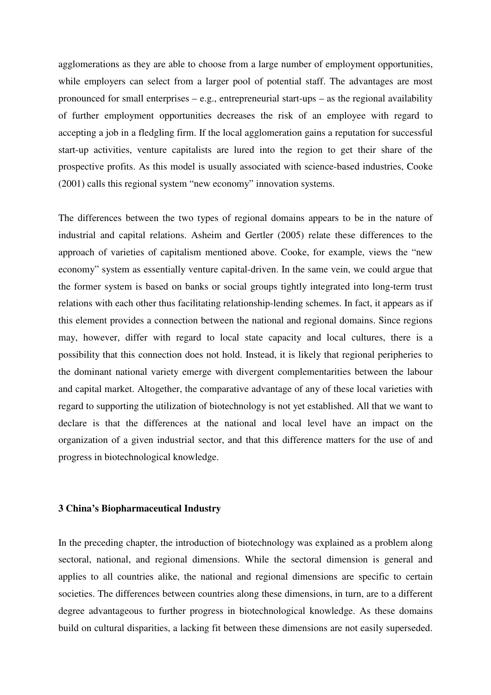agglomerations as they are able to choose from a large number of employment opportunities, while employers can select from a larger pool of potential staff. The advantages are most pronounced for small enterprises – e.g., entrepreneurial start-ups – as the regional availability of further employment opportunities decreases the risk of an employee with regard to accepting a job in a fledgling firm. If the local agglomeration gains a reputation for successful start-up activities, venture capitalists are lured into the region to get their share of the prospective profits. As this model is usually associated with science-based industries, Cooke (2001) calls this regional system "new economy" innovation systems.

The differences between the two types of regional domains appears to be in the nature of industrial and capital relations. Asheim and Gertler (2005) relate these differences to the approach of varieties of capitalism mentioned above. Cooke, for example, views the "new economy" system as essentially venture capital-driven. In the same vein, we could argue that the former system is based on banks or social groups tightly integrated into long-term trust relations with each other thus facilitating relationship-lending schemes. In fact, it appears as if this element provides a connection between the national and regional domains. Since regions may, however, differ with regard to local state capacity and local cultures, there is a possibility that this connection does not hold. Instead, it is likely that regional peripheries to the dominant national variety emerge with divergent complementarities between the labour and capital market. Altogether, the comparative advantage of any of these local varieties with regard to supporting the utilization of biotechnology is not yet established. All that we want to declare is that the differences at the national and local level have an impact on the organization of a given industrial sector, and that this difference matters for the use of and progress in biotechnological knowledge.

#### **3 China's Biopharmaceutical Industry**

In the preceding chapter, the introduction of biotechnology was explained as a problem along sectoral, national, and regional dimensions. While the sectoral dimension is general and applies to all countries alike, the national and regional dimensions are specific to certain societies. The differences between countries along these dimensions, in turn, are to a different degree advantageous to further progress in biotechnological knowledge. As these domains build on cultural disparities, a lacking fit between these dimensions are not easily superseded.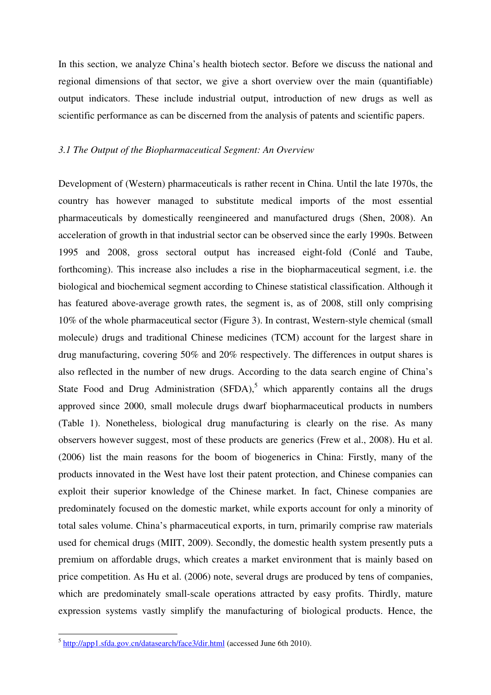In this section, we analyze China's health biotech sector. Before we discuss the national and regional dimensions of that sector, we give a short overview over the main (quantifiable) output indicators. These include industrial output, introduction of new drugs as well as scientific performance as can be discerned from the analysis of patents and scientific papers.

## *3.1 The Output of the Biopharmaceutical Segment: An Overview*

Development of (Western) pharmaceuticals is rather recent in China. Until the late 1970s, the country has however managed to substitute medical imports of the most essential pharmaceuticals by domestically reengineered and manufactured drugs (Shen, 2008). An acceleration of growth in that industrial sector can be observed since the early 1990s. Between 1995 and 2008, gross sectoral output has increased eight-fold (Conlé and Taube, forthcoming). This increase also includes a rise in the biopharmaceutical segment, i.e. the biological and biochemical segment according to Chinese statistical classification. Although it has featured above-average growth rates, the segment is, as of 2008, still only comprising 10% of the whole pharmaceutical sector (Figure 3). In contrast, Western-style chemical (small molecule) drugs and traditional Chinese medicines (TCM) account for the largest share in drug manufacturing, covering 50% and 20% respectively. The differences in output shares is also reflected in the number of new drugs. According to the data search engine of China's State Food and Drug Administration  $(SFDA)$ ,<sup>5</sup> which apparently contains all the drugs approved since 2000, small molecule drugs dwarf biopharmaceutical products in numbers (Table 1). Nonetheless, biological drug manufacturing is clearly on the rise. As many observers however suggest, most of these products are generics (Frew et al., 2008). Hu et al. (2006) list the main reasons for the boom of biogenerics in China: Firstly, many of the products innovated in the West have lost their patent protection, and Chinese companies can exploit their superior knowledge of the Chinese market. In fact, Chinese companies are predominately focused on the domestic market, while exports account for only a minority of total sales volume. China's pharmaceutical exports, in turn, primarily comprise raw materials used for chemical drugs (MIIT, 2009). Secondly, the domestic health system presently puts a premium on affordable drugs, which creates a market environment that is mainly based on price competition. As Hu et al. (2006) note, several drugs are produced by tens of companies, which are predominately small-scale operations attracted by easy profits. Thirdly, mature expression systems vastly simplify the manufacturing of biological products. Hence, the

<sup>&</sup>lt;sup>5</sup> http://app1.sfda.gov.cn/datasearch/face3/dir.html (accessed June 6th 2010).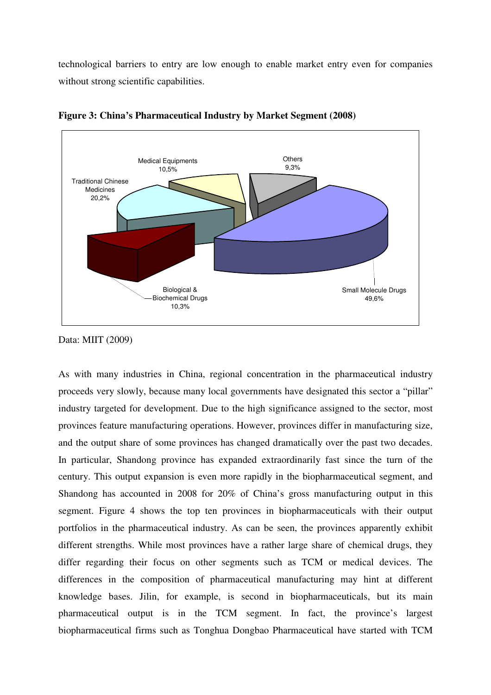technological barriers to entry are low enough to enable market entry even for companies without strong scientific capabilities.



**Figure 3: China's Pharmaceutical Industry by Market Segment (2008)** 

As with many industries in China, regional concentration in the pharmaceutical industry proceeds very slowly, because many local governments have designated this sector a "pillar" industry targeted for development. Due to the high significance assigned to the sector, most provinces feature manufacturing operations. However, provinces differ in manufacturing size, and the output share of some provinces has changed dramatically over the past two decades. In particular, Shandong province has expanded extraordinarily fast since the turn of the century. This output expansion is even more rapidly in the biopharmaceutical segment, and Shandong has accounted in 2008 for 20% of China's gross manufacturing output in this segment. Figure 4 shows the top ten provinces in biopharmaceuticals with their output portfolios in the pharmaceutical industry. As can be seen, the provinces apparently exhibit different strengths. While most provinces have a rather large share of chemical drugs, they differ regarding their focus on other segments such as TCM or medical devices. The differences in the composition of pharmaceutical manufacturing may hint at different knowledge bases. Jilin, for example, is second in biopharmaceuticals, but its main pharmaceutical output is in the TCM segment. In fact, the province's largest biopharmaceutical firms such as Tonghua Dongbao Pharmaceutical have started with TCM

Data: MIIT (2009)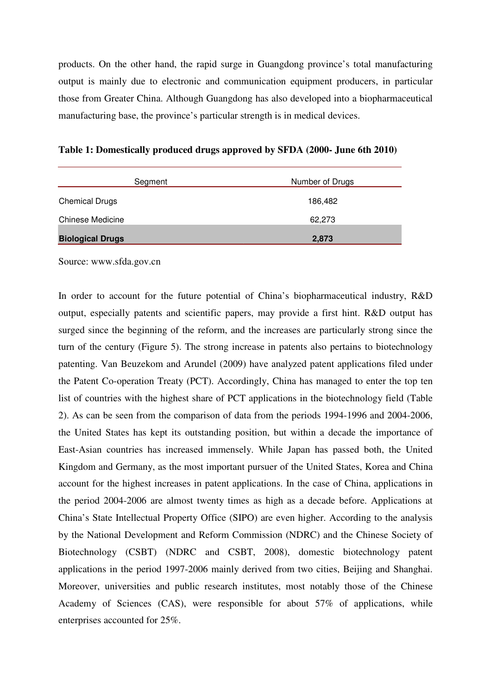products. On the other hand, the rapid surge in Guangdong province's total manufacturing output is mainly due to electronic and communication equipment producers, in particular those from Greater China. Although Guangdong has also developed into a biopharmaceutical manufacturing base, the province's particular strength is in medical devices.

|  |  |  | Table 1: Domestically produced drugs approved by SFDA (2000- June 6th 2010) |
|--|--|--|-----------------------------------------------------------------------------|
|  |  |  |                                                                             |

| Segment                 | Number of Drugs |
|-------------------------|-----------------|
| <b>Chemical Drugs</b>   | 186,482         |
| <b>Chinese Medicine</b> | 62.273          |
| <b>Biological Drugs</b> | 2,873           |

Source: www.sfda.gov.cn

In order to account for the future potential of China's biopharmaceutical industry, R&D output, especially patents and scientific papers, may provide a first hint. R&D output has surged since the beginning of the reform, and the increases are particularly strong since the turn of the century (Figure 5). The strong increase in patents also pertains to biotechnology patenting. Van Beuzekom and Arundel (2009) have analyzed patent applications filed under the Patent Co-operation Treaty (PCT). Accordingly, China has managed to enter the top ten list of countries with the highest share of PCT applications in the biotechnology field (Table 2). As can be seen from the comparison of data from the periods 1994-1996 and 2004-2006, the United States has kept its outstanding position, but within a decade the importance of East-Asian countries has increased immensely. While Japan has passed both, the United Kingdom and Germany, as the most important pursuer of the United States, Korea and China account for the highest increases in patent applications. In the case of China, applications in the period 2004-2006 are almost twenty times as high as a decade before. Applications at China's State Intellectual Property Office (SIPO) are even higher. According to the analysis by the National Development and Reform Commission (NDRC) and the Chinese Society of Biotechnology (CSBT) (NDRC and CSBT, 2008), domestic biotechnology patent applications in the period 1997-2006 mainly derived from two cities, Beijing and Shanghai. Moreover, universities and public research institutes, most notably those of the Chinese Academy of Sciences (CAS), were responsible for about 57% of applications, while enterprises accounted for 25%.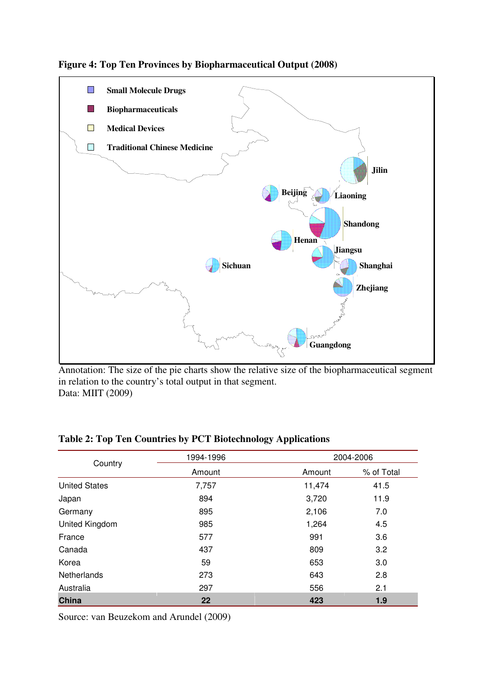



Annotation: The size of the pie charts show the relative size of the biopharmaceutical segment in relation to the country's total output in that segment. Data: MIIT (2009)

| Country              | 1994-1996 |        | 2004-2006  |  |  |
|----------------------|-----------|--------|------------|--|--|
|                      | Amount    | Amount | % of Total |  |  |
| <b>United States</b> | 7,757     | 11,474 | 41.5       |  |  |
| Japan                | 894       | 3,720  | 11.9       |  |  |
| Germany              | 895       | 2,106  | 7.0        |  |  |
| United Kingdom       | 985       | 1,264  | 4.5        |  |  |
| France               | 577       | 991    | 3.6        |  |  |
| Canada               | 437       | 809    | 3.2        |  |  |
| Korea                | 59        | 653    | 3.0        |  |  |
| <b>Netherlands</b>   | 273       | 643    | 2.8        |  |  |
| Australia            | 297       | 556    | 2.1        |  |  |
| China                | 22        | 423    | 1.9        |  |  |

**Table 2: Top Ten Countries by PCT Biotechnology Applications** 

Source: van Beuzekom and Arundel (2009)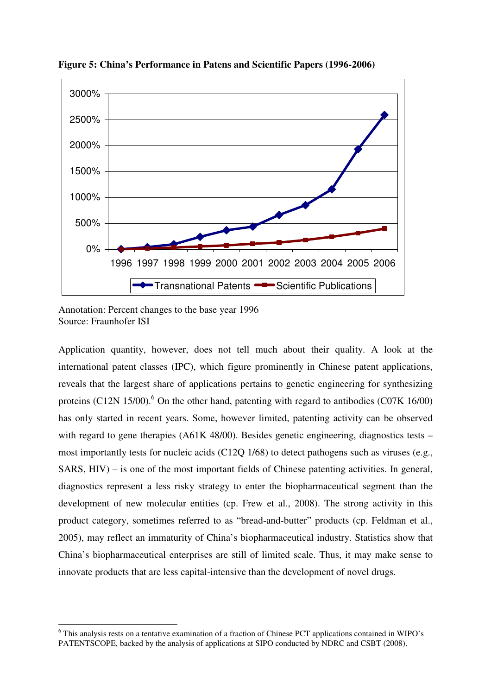

**Figure 5: China's Performance in Patens and Scientific Papers (1996-2006)** 

Annotation: Percent changes to the base year 1996 Source: Fraunhofer ISI

 $\overline{a}$ 

Application quantity, however, does not tell much about their quality. A look at the international patent classes (IPC), which figure prominently in Chinese patent applications, reveals that the largest share of applications pertains to genetic engineering for synthesizing proteins (C12N 15/00).<sup>6</sup> On the other hand, patenting with regard to antibodies (C07K 16/00) has only started in recent years. Some, however limited, patenting activity can be observed with regard to gene therapies (A61K 48/00). Besides genetic engineering, diagnostics tests – most importantly tests for nucleic acids (C12Q 1/68) to detect pathogens such as viruses (e.g., SARS, HIV) – is one of the most important fields of Chinese patenting activities. In general, diagnostics represent a less risky strategy to enter the biopharmaceutical segment than the development of new molecular entities (cp. Frew et al., 2008). The strong activity in this product category, sometimes referred to as "bread-and-butter" products (cp. Feldman et al., 2005), may reflect an immaturity of China's biopharmaceutical industry. Statistics show that China's biopharmaceutical enterprises are still of limited scale. Thus, it may make sense to innovate products that are less capital-intensive than the development of novel drugs.

<sup>&</sup>lt;sup>6</sup> This analysis rests on a tentative examination of a fraction of Chinese PCT applications contained in WIPO's PATENTSCOPE, backed by the analysis of applications at SIPO conducted by NDRC and CSBT (2008).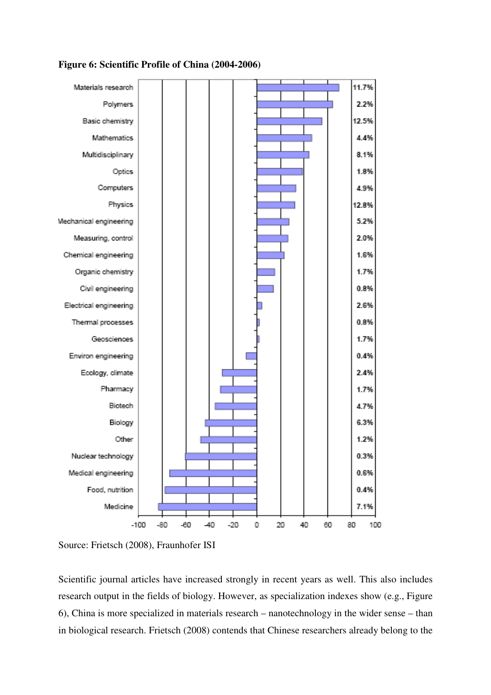# **Figure 6: Scientific Profile of China (2004-2006)**



Source: Frietsch (2008), Fraunhofer ISI

Scientific journal articles have increased strongly in recent years as well. This also includes research output in the fields of biology. However, as specialization indexes show (e.g., Figure 6), China is more specialized in materials research – nanotechnology in the wider sense – than in biological research. Frietsch (2008) contends that Chinese researchers already belong to the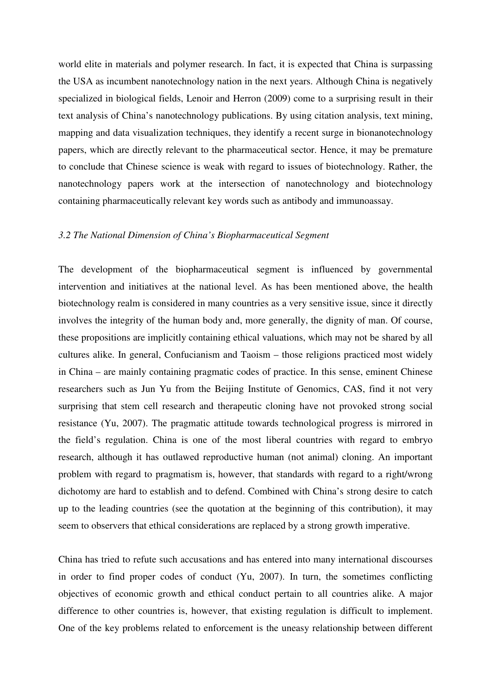world elite in materials and polymer research. In fact, it is expected that China is surpassing the USA as incumbent nanotechnology nation in the next years. Although China is negatively specialized in biological fields, Lenoir and Herron (2009) come to a surprising result in their text analysis of China's nanotechnology publications. By using citation analysis, text mining, mapping and data visualization techniques, they identify a recent surge in bionanotechnology papers, which are directly relevant to the pharmaceutical sector. Hence, it may be premature to conclude that Chinese science is weak with regard to issues of biotechnology. Rather, the nanotechnology papers work at the intersection of nanotechnology and biotechnology containing pharmaceutically relevant key words such as antibody and immunoassay.

#### *3.2 The National Dimension of China's Biopharmaceutical Segment*

The development of the biopharmaceutical segment is influenced by governmental intervention and initiatives at the national level. As has been mentioned above, the health biotechnology realm is considered in many countries as a very sensitive issue, since it directly involves the integrity of the human body and, more generally, the dignity of man. Of course, these propositions are implicitly containing ethical valuations, which may not be shared by all cultures alike. In general, Confucianism and Taoism – those religions practiced most widely in China – are mainly containing pragmatic codes of practice. In this sense, eminent Chinese researchers such as Jun Yu from the Beijing Institute of Genomics, CAS, find it not very surprising that stem cell research and therapeutic cloning have not provoked strong social resistance (Yu, 2007). The pragmatic attitude towards technological progress is mirrored in the field's regulation. China is one of the most liberal countries with regard to embryo research, although it has outlawed reproductive human (not animal) cloning. An important problem with regard to pragmatism is, however, that standards with regard to a right/wrong dichotomy are hard to establish and to defend. Combined with China's strong desire to catch up to the leading countries (see the quotation at the beginning of this contribution), it may seem to observers that ethical considerations are replaced by a strong growth imperative.

China has tried to refute such accusations and has entered into many international discourses in order to find proper codes of conduct (Yu, 2007). In turn, the sometimes conflicting objectives of economic growth and ethical conduct pertain to all countries alike. A major difference to other countries is, however, that existing regulation is difficult to implement. One of the key problems related to enforcement is the uneasy relationship between different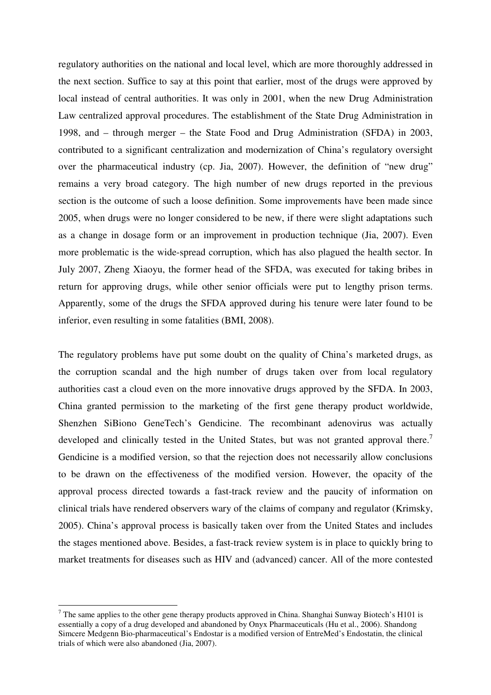regulatory authorities on the national and local level, which are more thoroughly addressed in the next section. Suffice to say at this point that earlier, most of the drugs were approved by local instead of central authorities. It was only in 2001, when the new Drug Administration Law centralized approval procedures. The establishment of the State Drug Administration in 1998, and – through merger – the State Food and Drug Administration (SFDA) in 2003, contributed to a significant centralization and modernization of China's regulatory oversight over the pharmaceutical industry (cp. Jia, 2007). However, the definition of "new drug" remains a very broad category. The high number of new drugs reported in the previous section is the outcome of such a loose definition. Some improvements have been made since 2005, when drugs were no longer considered to be new, if there were slight adaptations such as a change in dosage form or an improvement in production technique (Jia, 2007). Even more problematic is the wide-spread corruption, which has also plagued the health sector. In July 2007, Zheng Xiaoyu, the former head of the SFDA, was executed for taking bribes in return for approving drugs, while other senior officials were put to lengthy prison terms. Apparently, some of the drugs the SFDA approved during his tenure were later found to be inferior, even resulting in some fatalities (BMI, 2008).

The regulatory problems have put some doubt on the quality of China's marketed drugs, as the corruption scandal and the high number of drugs taken over from local regulatory authorities cast a cloud even on the more innovative drugs approved by the SFDA. In 2003, China granted permission to the marketing of the first gene therapy product worldwide, Shenzhen SiBiono GeneTech's Gendicine. The recombinant adenovirus was actually developed and clinically tested in the United States, but was not granted approval there.<sup>7</sup> Gendicine is a modified version, so that the rejection does not necessarily allow conclusions to be drawn on the effectiveness of the modified version. However, the opacity of the approval process directed towards a fast-track review and the paucity of information on clinical trials have rendered observers wary of the claims of company and regulator (Krimsky, 2005). China's approval process is basically taken over from the United States and includes the stages mentioned above. Besides, a fast-track review system is in place to quickly bring to market treatments for diseases such as HIV and (advanced) cancer. All of the more contested

 $\overline{a}$ 

<sup>&</sup>lt;sup>7</sup> The same applies to the other gene therapy products approved in China. Shanghai Sunway Biotech's H101 is essentially a copy of a drug developed and abandoned by Onyx Pharmaceuticals (Hu et al., 2006). Shandong Simcere Medgenn Bio-pharmaceutical's Endostar is a modified version of EntreMed's Endostatin, the clinical trials of which were also abandoned (Jia, 2007).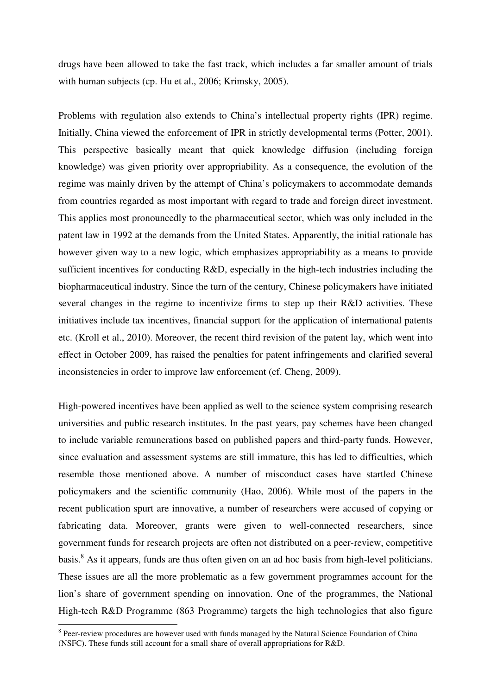drugs have been allowed to take the fast track, which includes a far smaller amount of trials with human subjects (cp. Hu et al., 2006; Krimsky, 2005).

Problems with regulation also extends to China's intellectual property rights (IPR) regime. Initially, China viewed the enforcement of IPR in strictly developmental terms (Potter, 2001). This perspective basically meant that quick knowledge diffusion (including foreign knowledge) was given priority over appropriability. As a consequence, the evolution of the regime was mainly driven by the attempt of China's policymakers to accommodate demands from countries regarded as most important with regard to trade and foreign direct investment. This applies most pronouncedly to the pharmaceutical sector, which was only included in the patent law in 1992 at the demands from the United States. Apparently, the initial rationale has however given way to a new logic, which emphasizes appropriability as a means to provide sufficient incentives for conducting R&D, especially in the high-tech industries including the biopharmaceutical industry. Since the turn of the century, Chinese policymakers have initiated several changes in the regime to incentivize firms to step up their R&D activities. These initiatives include tax incentives, financial support for the application of international patents etc. (Kroll et al., 2010). Moreover, the recent third revision of the patent lay, which went into effect in October 2009, has raised the penalties for patent infringements and clarified several inconsistencies in order to improve law enforcement (cf. Cheng, 2009).

High-powered incentives have been applied as well to the science system comprising research universities and public research institutes. In the past years, pay schemes have been changed to include variable remunerations based on published papers and third-party funds. However, since evaluation and assessment systems are still immature, this has led to difficulties, which resemble those mentioned above. A number of misconduct cases have startled Chinese policymakers and the scientific community (Hao, 2006). While most of the papers in the recent publication spurt are innovative, a number of researchers were accused of copying or fabricating data. Moreover, grants were given to well-connected researchers, since government funds for research projects are often not distributed on a peer-review, competitive basis.<sup>8</sup> As it appears, funds are thus often given on an ad hoc basis from high-level politicians. These issues are all the more problematic as a few government programmes account for the lion's share of government spending on innovation. One of the programmes, the National High-tech R&D Programme (863 Programme) targets the high technologies that also figure

 $\overline{a}$ 

<sup>&</sup>lt;sup>8</sup> Peer-review procedures are however used with funds managed by the Natural Science Foundation of China (NSFC). These funds still account for a small share of overall appropriations for R&D.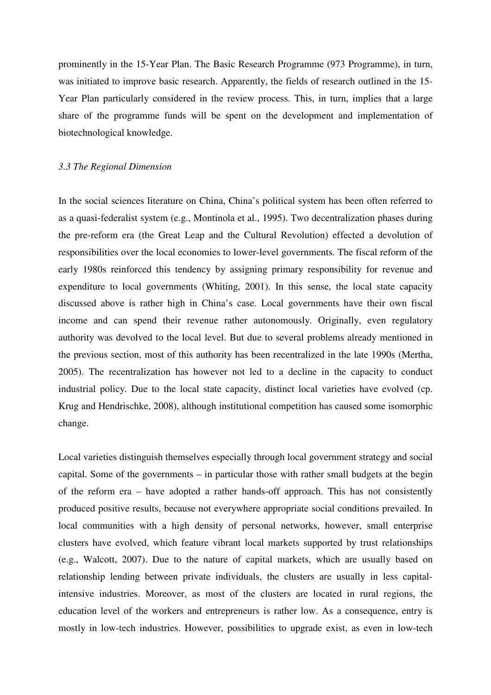prominently in the 15-Year Plan. The Basic Research Programme (973 Programme), in turn, was initiated to improve basic research. Apparently, the fields of research outlined in the 15- Year Plan particularly considered in the review process. This, in turn, implies that a large share of the programme funds will be spent on the development and implementation of biotechnological knowledge.

#### *3.3 The Regional Dimension*

In the social sciences literature on China, China's political system has been often referred to as a quasi-federalist system (e.g., Montinola et al., 1995). Two decentralization phases during the pre-reform era (the Great Leap and the Cultural Revolution) effected a devolution of responsibilities over the local economies to lower-level governments. The fiscal reform of the early 1980s reinforced this tendency by assigning primary responsibility for revenue and expenditure to local governments (Whiting, 2001). In this sense, the local state capacity discussed above is rather high in China's case. Local governments have their own fiscal income and can spend their revenue rather autonomously. Originally, even regulatory authority was devolved to the local level. But due to several problems already mentioned in the previous section, most of this authority has been recentralized in the late 1990s (Mertha, 2005). The recentralization has however not led to a decline in the capacity to conduct industrial policy. Due to the local state capacity, distinct local varieties have evolved (cp. Krug and Hendrischke, 2008), although institutional competition has caused some isomorphic change.

Local varieties distinguish themselves especially through local government strategy and social capital. Some of the governments – in particular those with rather small budgets at the begin of the reform era – have adopted a rather hands-off approach. This has not consistently produced positive results, because not everywhere appropriate social conditions prevailed. In local communities with a high density of personal networks, however, small enterprise clusters have evolved, which feature vibrant local markets supported by trust relationships (e.g., Walcott, 2007). Due to the nature of capital markets, which are usually based on relationship lending between private individuals, the clusters are usually in less capitalintensive industries. Moreover, as most of the clusters are located in rural regions, the education level of the workers and entrepreneurs is rather low. As a consequence, entry is mostly in low-tech industries. However, possibilities to upgrade exist, as even in low-tech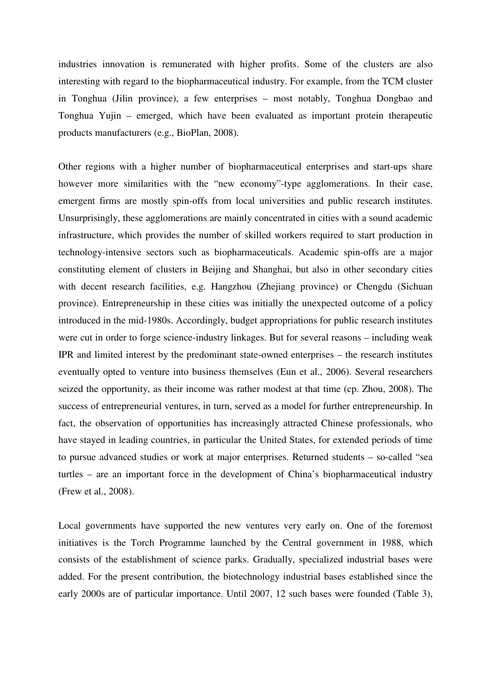industries innovation is remunerated with higher profits. Some of the clusters are also interesting with regard to the biopharmaceutical industry. For example, from the TCM cluster in Tonghua (Jilin province), a few enterprises – most notably, Tonghua Dongbao and Tonghua Yujin – emerged, which have been evaluated as important protein therapeutic products manufacturers (e.g., BioPlan, 2008).

Other regions with a higher number of biopharmaceutical enterprises and start-ups share however more similarities with the "new economy"-type agglomerations. In their case, emergent firms are mostly spin-offs from local universities and public research institutes. Unsurprisingly, these agglomerations are mainly concentrated in cities with a sound academic infrastructure, which provides the number of skilled workers required to start production in technology-intensive sectors such as biopharmaceuticals. Academic spin-offs are a major constituting element of clusters in Beijing and Shanghai, but also in other secondary cities with decent research facilities, e.g. Hangzhou (Zhejiang province) or Chengdu (Sichuan province). Entrepreneurship in these cities was initially the unexpected outcome of a policy introduced in the mid-1980s. Accordingly, budget appropriations for public research institutes were cut in order to forge science-industry linkages. But for several reasons – including weak IPR and limited interest by the predominant state-owned enterprises – the research institutes eventually opted to venture into business themselves (Eun et al., 2006). Several researchers seized the opportunity, as their income was rather modest at that time (cp. Zhou, 2008). The success of entrepreneurial ventures, in turn, served as a model for further entrepreneurship. In fact, the observation of opportunities has increasingly attracted Chinese professionals, who have stayed in leading countries, in particular the United States, for extended periods of time to pursue advanced studies or work at major enterprises. Returned students – so-called "sea turtles – are an important force in the development of China's biopharmaceutical industry (Frew et al., 2008).

Local governments have supported the new ventures very early on. One of the foremost initiatives is the Torch Programme launched by the Central government in 1988, which consists of the establishment of science parks. Gradually, specialized industrial bases were added. For the present contribution, the biotechnology industrial bases established since the early 2000s are of particular importance. Until 2007, 12 such bases were founded (Table 3),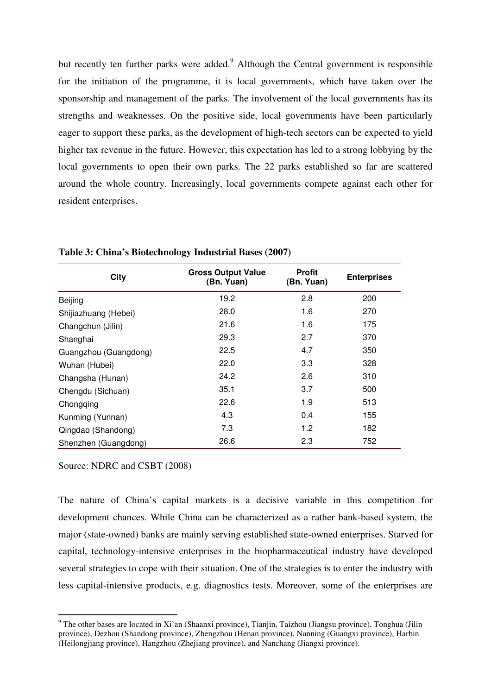but recently ten further parks were added.<sup>9</sup> Although the Central government is responsible for the initiation of the programme, it is local governments, which have taken over the sponsorship and management of the parks. The involvement of the local governments has its strengths and weaknesses. On the positive side, local governments have been particularly eager to support these parks, as the development of high-tech sectors can be expected to yield higher tax revenue in the future. However, this expectation has led to a strong lobbying by the local governments to open their own parks. The 22 parks established so far are scattered around the whole country. Increasingly, local governments compete against each other for resident enterprises.

| City                  | <b>Gross Output Value</b><br>(Bn. Yuan) | <b>Profit</b><br>(Bn. Yuan) | <b>Enterprises</b> |
|-----------------------|-----------------------------------------|-----------------------------|--------------------|
| Beijing               | 19.2                                    | 2.8                         | 200                |
| Shijiazhuang (Hebei)  | 28.0                                    | 1.6                         | 270                |
| Changchun (Jilin)     | 21.6                                    | 1.6                         | 175                |
| Shanghai              | 29.3                                    | 2.7                         | 370                |
| Guangzhou (Guangdong) | 22.5                                    | 4.7                         | 350                |
| Wuhan (Hubei)         | 22.0                                    | 3.3                         | 328                |
| Changsha (Hunan)      | 24.2                                    | 2.6                         | 310                |
| Chengdu (Sichuan)     | 35.1                                    | 3.7                         | 500                |
| Chongqing             | 22.6                                    | 1.9                         | 513                |
| Kunming (Yunnan)      | 4.3                                     | 0.4                         | 155                |
| Qingdao (Shandong)    | 7.3                                     | 1.2                         | 182                |
| Shenzhen (Guangdong)  | 26.6                                    | 2.3                         | 752                |

**Table 3: China's Biotechnology Industrial Bases (2007)** 

Source: NDRC and CSBT (2008)

 $\overline{a}$ 

The nature of China's capital markets is a decisive variable in this competition for development chances. While China can be characterized as a rather bank-based system, the major (state-owned) banks are mainly serving established state-owned enterprises. Starved for capital, technology-intensive enterprises in the biopharmaceutical industry have developed several strategies to cope with their situation. One of the strategies is to enter the industry with less capital-intensive products, e.g. diagnostics tests. Moreover, some of the enterprises are

<sup>&</sup>lt;sup>9</sup> The other bases are located in Xi'an (Shaanxi province), Tianjin, Taizhou (Jiangsu province), Tonghua (Jilin province), Dezhou (Shandong province), Zhengzhou (Henan province), Nanning (Guangxi province), Harbin (Heilongjiang province), Hangzhou (Zhejiang province), and Nanchang (Jiangxi province).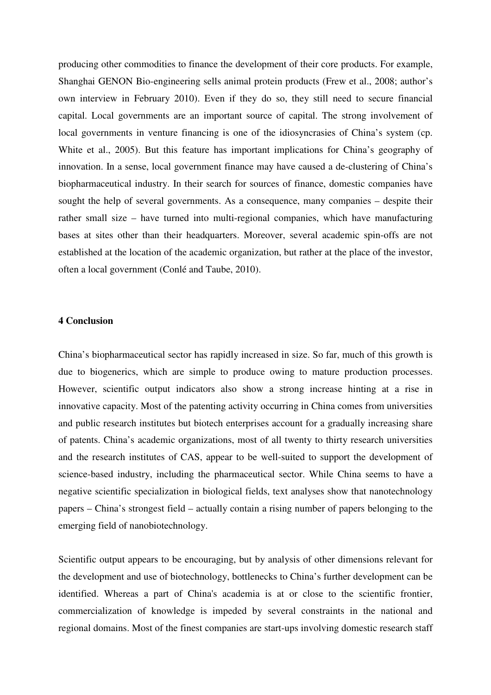producing other commodities to finance the development of their core products. For example, Shanghai GENON Bio-engineering sells animal protein products (Frew et al., 2008; author's own interview in February 2010). Even if they do so, they still need to secure financial capital. Local governments are an important source of capital. The strong involvement of local governments in venture financing is one of the idiosyncrasies of China's system (cp. White et al., 2005). But this feature has important implications for China's geography of innovation. In a sense, local government finance may have caused a de-clustering of China's biopharmaceutical industry. In their search for sources of finance, domestic companies have sought the help of several governments. As a consequence, many companies – despite their rather small size – have turned into multi-regional companies, which have manufacturing bases at sites other than their headquarters. Moreover, several academic spin-offs are not established at the location of the academic organization, but rather at the place of the investor, often a local government (Conlé and Taube, 2010).

## **4 Conclusion**

China's biopharmaceutical sector has rapidly increased in size. So far, much of this growth is due to biogenerics, which are simple to produce owing to mature production processes. However, scientific output indicators also show a strong increase hinting at a rise in innovative capacity. Most of the patenting activity occurring in China comes from universities and public research institutes but biotech enterprises account for a gradually increasing share of patents. China's academic organizations, most of all twenty to thirty research universities and the research institutes of CAS, appear to be well-suited to support the development of science-based industry, including the pharmaceutical sector. While China seems to have a negative scientific specialization in biological fields, text analyses show that nanotechnology papers – China's strongest field – actually contain a rising number of papers belonging to the emerging field of nanobiotechnology.

Scientific output appears to be encouraging, but by analysis of other dimensions relevant for the development and use of biotechnology, bottlenecks to China's further development can be identified. Whereas a part of China's academia is at or close to the scientific frontier, commercialization of knowledge is impeded by several constraints in the national and regional domains. Most of the finest companies are start-ups involving domestic research staff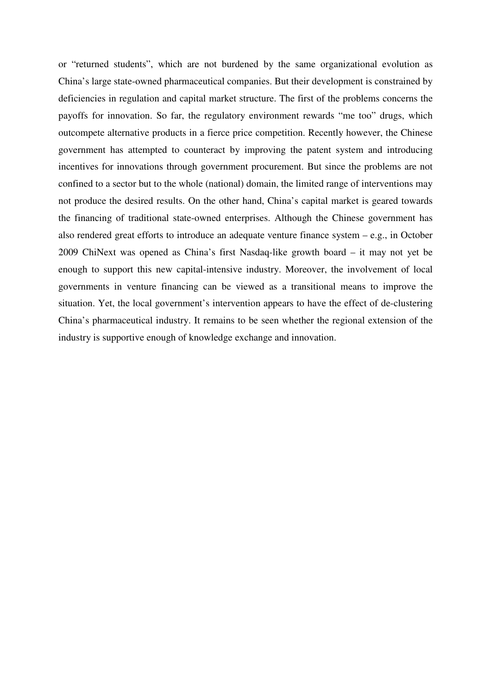or "returned students", which are not burdened by the same organizational evolution as China's large state-owned pharmaceutical companies. But their development is constrained by deficiencies in regulation and capital market structure. The first of the problems concerns the payoffs for innovation. So far, the regulatory environment rewards "me too" drugs, which outcompete alternative products in a fierce price competition. Recently however, the Chinese government has attempted to counteract by improving the patent system and introducing incentives for innovations through government procurement. But since the problems are not confined to a sector but to the whole (national) domain, the limited range of interventions may not produce the desired results. On the other hand, China's capital market is geared towards the financing of traditional state-owned enterprises. Although the Chinese government has also rendered great efforts to introduce an adequate venture finance system – e.g., in October 2009 ChiNext was opened as China's first Nasdaq-like growth board – it may not yet be enough to support this new capital-intensive industry. Moreover, the involvement of local governments in venture financing can be viewed as a transitional means to improve the situation. Yet, the local government's intervention appears to have the effect of de-clustering China's pharmaceutical industry. It remains to be seen whether the regional extension of the industry is supportive enough of knowledge exchange and innovation.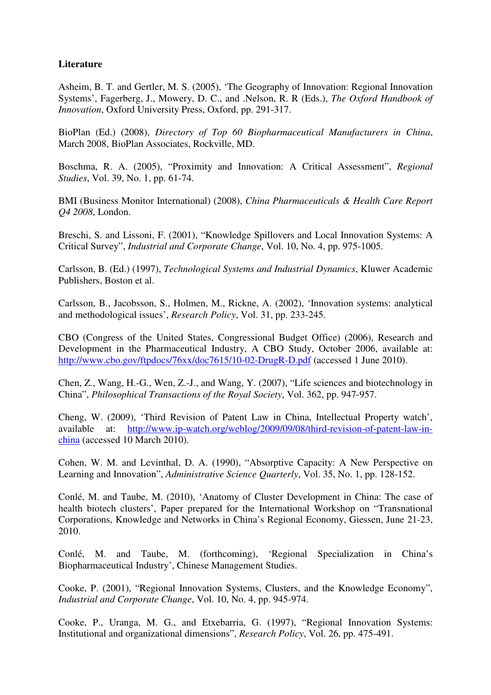# **Literature**

Asheim, B. T. and Gertler, M. S. (2005), 'The Geography of Innovation: Regional Innovation Systems', Fagerberg, J., Mowery, D. C., and .Nelson, R. R (Eds.), *The Oxford Handbook of Innovation*, Oxford University Press, Oxford, pp. 291-317.

BioPlan (Ed.) (2008), *Directory of Top 60 Biopharmaceutical Manufacturers in China*, March 2008, BioPlan Associates, Rockville, MD.

Boschma, R. A. (2005), "Proximity and Innovation: A Critical Assessment", *Regional Studies*, Vol. 39, No. 1, pp. 61-74.

BMI (Business Monitor International) (2008), *China Pharmaceuticals & Health Care Report Q4 2008*, London.

Breschi, S. and Lissoni, F. (2001), "Knowledge Spillovers and Local Innovation Systems: A Critical Survey", *Industrial and Corporate Change*, Vol. 10, No. 4, pp. 975-1005.

Carlsson, B. (Ed.) (1997), *Technological Systems and Industrial Dynamics*, Kluwer Academic Publishers, Boston et al.

Carlsson, B., Jacobsson, S., Holmen, M., Rickne, A. (2002), 'Innovation systems: analytical and methodological issues', *Research Policy*, Vol. 31, pp. 233-245.

CBO (Congress of the United States, Congressional Budget Office) (2006), Research and Development in the Pharmaceutical Industry, A CBO Study, October 2006, available at: http://www.cbo.gov/ftpdocs/76xx/doc7615/10-02-DrugR-D.pdf (accessed 1 June 2010).

Chen, Z., Wang, H.-G., Wen, Z.-J., and Wang, Y. (2007), "Life sciences and biotechnology in China", *Philosophical Transactions of the Royal Society*, Vol. 362, pp. 947-957.

Cheng, W. (2009), 'Third Revision of Patent Law in China, Intellectual Property watch', available at: http://www.ip-watch.org/weblog/2009/09/08/third-revision-of-patent-law-inchina (accessed 10 March 2010).

Cohen, W. M. and Levinthal, D. A. (1990), "Absorptive Capacity: A New Perspective on Learning and Innovation", *Administrative Science Quarterly*, Vol. 35, No. 1, pp. 128-152.

Conlé, M. and Taube, M. (2010), 'Anatomy of Cluster Development in China: The case of health biotech clusters', Paper prepared for the International Workshop on "Transnational Corporations, Knowledge and Networks in China's Regional Economy, Giessen, June 21-23, 2010.

Conlé, M. and Taube, M. (forthcoming), 'Regional Specialization in China's Biopharmaceutical Industry', Chinese Management Studies.

Cooke, P. (2001), "Regional Innovation Systems, Clusters, and the Knowledge Economy", *Industrial and Corporate Change*, Vol. 10, No. 4, pp. 945-974.

Cooke, P., Uranga, M. G., and Etxebarria, G. (1997), "Regional Innovation Systems: Institutional and organizational dimensions", *Research Policy*, Vol. 26, pp. 475-491.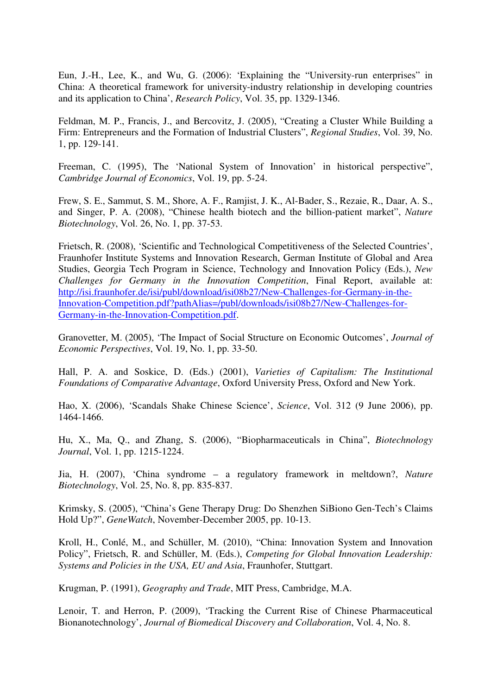Eun, J.-H., Lee, K., and Wu, G. (2006): 'Explaining the "University-run enterprises" in China: A theoretical framework for university-industry relationship in developing countries and its application to China', *Research Policy*, Vol. 35, pp. 1329-1346.

Feldman, M. P., Francis, J., and Bercovitz, J. (2005), "Creating a Cluster While Building a Firm: Entrepreneurs and the Formation of Industrial Clusters", *Regional Studies*, Vol. 39, No. 1, pp. 129-141.

Freeman, C. (1995), The 'National System of Innovation' in historical perspective", *Cambridge Journal of Economics*, Vol. 19, pp. 5-24.

Frew, S. E., Sammut, S. M., Shore, A. F., Ramjist, J. K., Al-Bader, S., Rezaie, R., Daar, A. S., and Singer, P. A. (2008), "Chinese health biotech and the billion-patient market", *Nature Biotechnology*, Vol. 26, No. 1, pp. 37-53.

Frietsch, R. (2008), 'Scientific and Technological Competitiveness of the Selected Countries', Fraunhofer Institute Systems and Innovation Research, German Institute of Global and Area Studies, Georgia Tech Program in Science, Technology and Innovation Policy (Eds.), *New Challenges for Germany in the Innovation Competition*, Final Report, available at: http://isi.fraunhofer.de/isi/publ/download/isi08b27/New-Challenges-for-Germany-in-the-Innovation-Competition.pdf?pathAlias=/publ/downloads/isi08b27/New-Challenges-for-Germany-in-the-Innovation-Competition.pdf.

Granovetter, M. (2005), 'The Impact of Social Structure on Economic Outcomes', *Journal of Economic Perspectives*, Vol. 19, No. 1, pp. 33-50.

Hall, P. A. and Soskice, D. (Eds.) (2001), *Varieties of Capitalism: The Institutional Foundations of Comparative Advantage*, Oxford University Press, Oxford and New York.

Hao, X. (2006), 'Scandals Shake Chinese Science', *Science*, Vol. 312 (9 June 2006), pp. 1464-1466.

Hu, X., Ma, Q., and Zhang, S. (2006), "Biopharmaceuticals in China", *Biotechnology Journal*, Vol. 1, pp. 1215-1224.

Jia, H. (2007), 'China syndrome – a regulatory framework in meltdown?, *Nature Biotechnology*, Vol. 25, No. 8, pp. 835-837.

Krimsky, S. (2005), "China's Gene Therapy Drug: Do Shenzhen SiBiono Gen-Tech's Claims Hold Up?", *GeneWatch*, November-December 2005, pp. 10-13.

Kroll, H., Conlé, M., and Schüller, M. (2010), "China: Innovation System and Innovation Policy", Frietsch, R. and Schüller, M. (Eds.), *Competing for Global Innovation Leadership: Systems and Policies in the USA, EU and Asia*, Fraunhofer, Stuttgart.

Krugman, P. (1991), *Geography and Trade*, MIT Press, Cambridge, M.A.

Lenoir, T. and Herron, P. (2009), 'Tracking the Current Rise of Chinese Pharmaceutical Bionanotechnology', *Journal of Biomedical Discovery and Collaboration*, Vol. 4, No. 8.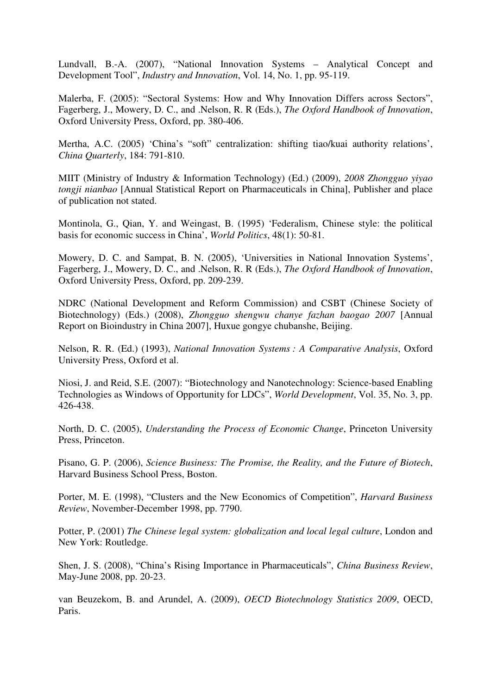Lundvall, B.-A. (2007), "National Innovation Systems – Analytical Concept and Development Tool", *Industry and Innovation*, Vol. 14, No. 1, pp. 95-119.

Malerba, F. (2005): "Sectoral Systems: How and Why Innovation Differs across Sectors", Fagerberg, J., Mowery, D. C., and .Nelson, R. R (Eds.), *The Oxford Handbook of Innovation*, Oxford University Press, Oxford, pp. 380-406.

Mertha, A.C. (2005) 'China's "soft" centralization: shifting tiao/kuai authority relations', *China Quarterly*, 184: 791-810.

MIIT (Ministry of Industry & Information Technology) (Ed.) (2009), *2008 Zhongguo yiyao tongji nianbao* [Annual Statistical Report on Pharmaceuticals in China], Publisher and place of publication not stated.

Montinola, G., Qian, Y. and Weingast, B. (1995) 'Federalism, Chinese style: the political basis for economic success in China', *World Politics*, 48(1): 50-81.

Mowery, D. C. and Sampat, B. N. (2005), 'Universities in National Innovation Systems', Fagerberg, J., Mowery, D. C., and .Nelson, R. R (Eds.), *The Oxford Handbook of Innovation*, Oxford University Press, Oxford, pp. 209-239.

NDRC (National Development and Reform Commission) and CSBT (Chinese Society of Biotechnology) (Eds.) (2008), *Zhongguo shengwu chanye fazhan baogao 2007* [Annual Report on Bioindustry in China 2007], Huxue gongye chubanshe, Beijing.

Nelson, R. R. (Ed.) (1993), *National Innovation Systems : A Comparative Analysis*, Oxford University Press, Oxford et al.

Niosi, J. and Reid, S.E. (2007): "Biotechnology and Nanotechnology: Science-based Enabling Technologies as Windows of Opportunity for LDCs", *World Development*, Vol. 35, No. 3, pp. 426-438.

North, D. C. (2005), *Understanding the Process of Economic Change*, Princeton University Press, Princeton.

Pisano, G. P. (2006), *Science Business: The Promise, the Reality, and the Future of Biotech*, Harvard Business School Press, Boston.

Porter, M. E. (1998), "Clusters and the New Economics of Competition", *Harvard Business Review*, November-December 1998, pp. 7790.

Potter, P. (2001) *The Chinese legal system: globalization and local legal culture*, London and New York: Routledge.

Shen, J. S. (2008), "China's Rising Importance in Pharmaceuticals", *China Business Review*, May-June 2008, pp. 20-23.

van Beuzekom, B. and Arundel, A. (2009), *OECD Biotechnology Statistics 2009*, OECD, Paris.